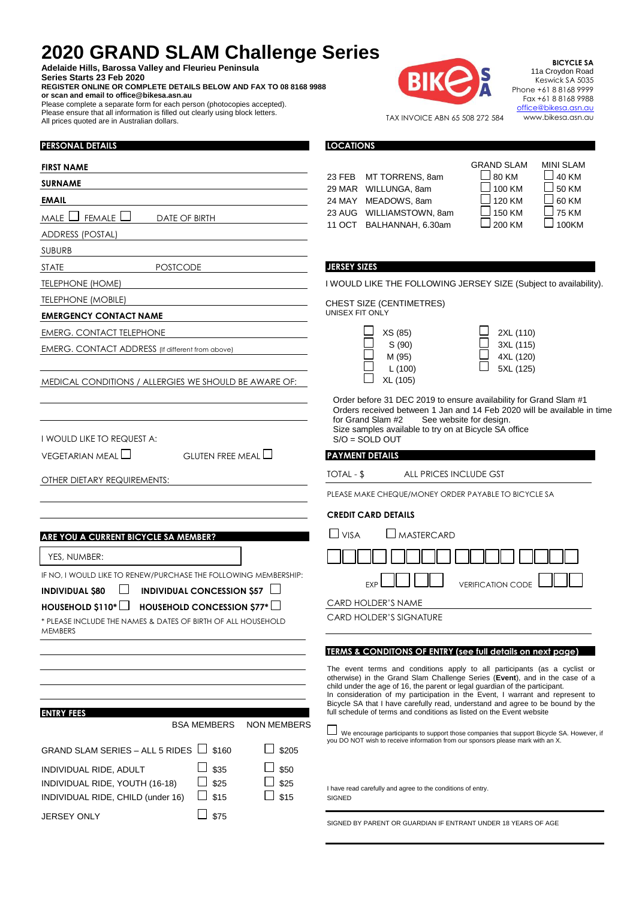## **2020 GRAND SLAM Challenge Series**

**Adelaide Hills, Barossa Valley and Fleurieu Peninsula Series Starts 23 Feb 2020**

JERSEY ONLY  $\Box$  \$75

**PERSONAL DETAILS**

 $\overline{a}$ 

 $\overline{1}$ 

 $\ddot{\phantom{a}}$ 

**REGISTER ONLINE OR COMPLETE DETAILS BELOW AND FAX TO 08 8168 9988 or scan and email to office@bikesa.asn.au** Please complete a separate form for each person (photocopies accepted).

Please ensure that all information is filled out clearly using block letters. All prices quoted are in Australian dollars.



**BICYCLE SA** 11a Croydon Road Keswick SA 5035 Phone +61 8 8168 9999 Fax +61 8 8168 9988 [office@bikesa.asn.au](mailto:office@bikesa.asn.au) www.bikesa.asn.au

TAX INVOICE ABN 65 508 272 584

**LOCATIONS**

| <b>FIRST NAME</b>                                                                                                                             | <b>GRAND SLAM</b><br><b>MINI SLAM</b>                                                                                                                                                                                                                                                                                                                                                                                                                                              |
|-----------------------------------------------------------------------------------------------------------------------------------------------|------------------------------------------------------------------------------------------------------------------------------------------------------------------------------------------------------------------------------------------------------------------------------------------------------------------------------------------------------------------------------------------------------------------------------------------------------------------------------------|
| <b>SURNAME</b>                                                                                                                                | 80 KM<br>$\Box$ 40 KM<br>23 FEB MT TORRENS, 8am<br>100 KM<br>50 KM                                                                                                                                                                                                                                                                                                                                                                                                                 |
| <b>EMAIL</b>                                                                                                                                  | 29 MAR WILLUNGA, 8am<br>60 KM<br>120 KM<br>24 MAY MEADOWS, 8am                                                                                                                                                                                                                                                                                                                                                                                                                     |
| FEMALE L<br>male $\Box$<br>DATE OF BIRTH                                                                                                      | $\Box$ 75 KM<br>150 KM<br>23 AUG WILLIAMSTOWN, 8am                                                                                                                                                                                                                                                                                                                                                                                                                                 |
| <b>ADDRESS (POSTAL)</b>                                                                                                                       | $\square$ 100KM<br>200 KM<br>11 OCT BALHANNAH, 6.30am                                                                                                                                                                                                                                                                                                                                                                                                                              |
| <b>SUBURB</b>                                                                                                                                 |                                                                                                                                                                                                                                                                                                                                                                                                                                                                                    |
| <b>POSTCODE</b><br>STATE                                                                                                                      | <b>JERSEY SIZES</b>                                                                                                                                                                                                                                                                                                                                                                                                                                                                |
| <b>TELEPHONE (HOME)</b>                                                                                                                       | I WOULD LIKE THE FOLLOWING JERSEY SIZE (Subject to availability).                                                                                                                                                                                                                                                                                                                                                                                                                  |
| <b>TELEPHONE (MOBILE)</b>                                                                                                                     | <b>CHEST SIZE (CENTIMETRES)</b>                                                                                                                                                                                                                                                                                                                                                                                                                                                    |
| <b>EMERGENCY CONTACT NAME</b>                                                                                                                 | UNISEX FIT ONLY                                                                                                                                                                                                                                                                                                                                                                                                                                                                    |
| EMERG. CONTACT TELEPHONE                                                                                                                      | XS (85)<br>2XL (110)                                                                                                                                                                                                                                                                                                                                                                                                                                                               |
| EMERG. CONTACT ADDRESS (If different from above)                                                                                              | 3XL (115)<br>S(90)<br>4XL (120)<br>M (95)<br>5XL (125)<br>L(100)                                                                                                                                                                                                                                                                                                                                                                                                                   |
| MEDICAL CONDITIONS / ALLERGIES WE SHOULD BE AWARE OF:                                                                                         | XL (105)                                                                                                                                                                                                                                                                                                                                                                                                                                                                           |
| I WOULD LIKE TO REQUEST A:                                                                                                                    | Order before 31 DEC 2019 to ensure availability for Grand Slam #1<br>Orders received between 1 Jan and 14 Feb 2020 will be available in time<br>for Grand Slam #2<br>See website for design.<br>Size samples available to try on at Bicycle SA office<br>$S/O = SOLD OUT$                                                                                                                                                                                                          |
| VEGETARIAN MEAL $\Box$<br>GLUTEN FREE MEAL $\Box$                                                                                             | <b>PAYMENT DETAILS</b>                                                                                                                                                                                                                                                                                                                                                                                                                                                             |
|                                                                                                                                               | TOTAL - \$<br>ALL PRICES INCLUDE GST                                                                                                                                                                                                                                                                                                                                                                                                                                               |
| OTHER DIETARY REQUIREMENTS:                                                                                                                   | PLEASE MAKE CHEQUE/MONEY ORDER PAYABLE TO BICYCLE SA                                                                                                                                                                                                                                                                                                                                                                                                                               |
|                                                                                                                                               |                                                                                                                                                                                                                                                                                                                                                                                                                                                                                    |
|                                                                                                                                               | <b>CREDIT CARD DETAILS</b>                                                                                                                                                                                                                                                                                                                                                                                                                                                         |
| ARE YOU A CURRENT BICYCLE SA MEMBER?                                                                                                          | $\Box$ VISA<br>MASTERCARD                                                                                                                                                                                                                                                                                                                                                                                                                                                          |
| YES, NUMBER:                                                                                                                                  |                                                                                                                                                                                                                                                                                                                                                                                                                                                                                    |
| IF NO, I WOULD LIKE TO RENEW/PURCHASE THE FOLLOWING MEMBERSHIP:<br>INDIVIDUAL CONCESSION \$57 $\Box$<br><b>INDIVIDUAL \$80</b>                | <b>VERIFICATION CODE</b><br><b>EXP</b>                                                                                                                                                                                                                                                                                                                                                                                                                                             |
| HOUSEHOLD CONCESSION $577^*$<br>$H$ OUSEHOLD \$110* $\Box$                                                                                    | <b>CARD HOLDER'S NAME</b>                                                                                                                                                                                                                                                                                                                                                                                                                                                          |
| * PLEASE INCLUDE THE NAMES & DATES OF BIRTH OF ALL HOUSEHOLD<br>MEMBERS                                                                       | <b>CARD HOLDER'S SIGNATURE</b>                                                                                                                                                                                                                                                                                                                                                                                                                                                     |
|                                                                                                                                               | TERMS & CONDITONS OF ENTRY (see full details on next page)                                                                                                                                                                                                                                                                                                                                                                                                                         |
| <b>ENTRY FEES</b>                                                                                                                             | The event terms and conditions apply to all participants (as a cyclist or<br>otherwise) in the Grand Slam Challenge Series (Event), and in the case of a<br>child under the age of 16, the parent or legal guardian of the participant.<br>In consideration of my participation in the Event, I warrant and represent to<br>Bicycle SA that I have carefully read, understand and agree to be bound by the<br>full schedule of terms and conditions as listed on the Event website |
| <b>BSA MEMBERS</b><br><b>NON MEMBERS</b>                                                                                                      | We encourage participants to support those companies that support Bicycle SA. However, if<br>you DO NOT wish to receive information from our sponsors please mark with an X.                                                                                                                                                                                                                                                                                                       |
| GRAND SLAM SERIES – ALL 5 RIDES İ<br>$\overline{\phantom{0}}$<br>\$160<br>\$205                                                               |                                                                                                                                                                                                                                                                                                                                                                                                                                                                                    |
| \$50<br>\$35<br>INDIVIDUAL RIDE, ADULT<br>\$25<br>\$25<br>INDIVIDUAL RIDE, YOUTH (16-18)<br>\$15<br>\$15<br>INDIVIDUAL RIDE, CHILD (under 16) | I have read carefully and agree to the conditions of entry.<br><b>SIGNED</b>                                                                                                                                                                                                                                                                                                                                                                                                       |

SIGNED BY PARENT OR GUARDIAN IF ENTRANT UNDER 18 YEARS OF AGE